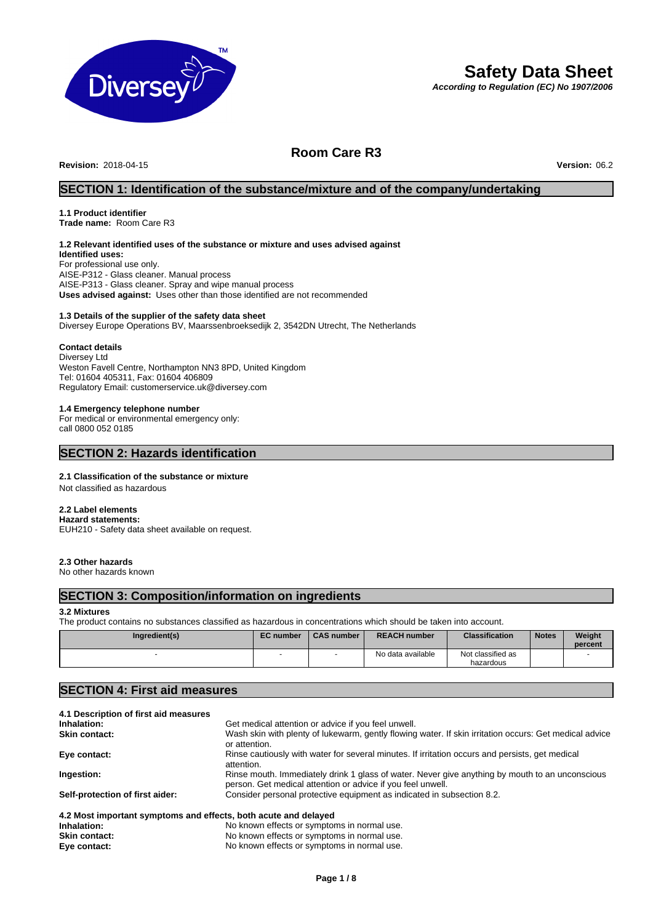

# **Safety Data Sheet**

*According to Regulation (EC) No 1907/2006*

# **Room Care R3**

**Revision:** 2018-04-15 **Version:** 06.2

# **SECTION 1: Identification of the substance/mixture and of the company/undertaking**

# **1.1 Product identifier**

**Trade name:** Room Care R3

# **1.2 Relevant identified uses of the substance or mixture and uses advised against**

**Identified uses:** For professional use only. AISE-P312 - Glass cleaner. Manual process AISE-P313 - Glass cleaner. Spray and wipe manual process **Uses advised against:** Uses other than those identified are not recommended

#### **1.3 Details of the supplier of the safety data sheet**

Diversey Europe Operations BV, Maarssenbroeksedijk 2, 3542DN Utrecht, The Netherlands

#### **Contact details**

Diversey Ltd Weston Favell Centre, Northampton NN3 8PD, United Kingdom Tel: 01604 405311, Fax: 01604 406809 Regulatory Email: customerservice.uk@diversey.com

#### **1.4 Emergency telephone number**

For medical or environmental emergency only: call 0800 052 0185

## **SECTION 2: Hazards identification**

#### **2.1 Classification of the substance or mixture**

Not classified as hazardous

#### **2.2 Label elements**

**Hazard statements:**  EUH210 - Safety data sheet available on request.

#### **2.3 Other hazards**

No other hazards known

# **SECTION 3: Composition/information on ingredients**

#### **3.2 Mixtures**

The product contains no substances classified as hazardous in concentrations which should be taken into account.

| Ingredient(s) | <b>EC</b> number | <b>CAS number</b> | <b>REACH number</b> | <b>Classification</b>          | <b>Notes</b> | Weight<br>percent |
|---------------|------------------|-------------------|---------------------|--------------------------------|--------------|-------------------|
|               |                  |                   | No data available   | Not classified as<br>hazardous |              |                   |

# **SECTION 4: First aid measures**

| 4.1 Description of first aid measures                           |                                                                                                                                                                |
|-----------------------------------------------------------------|----------------------------------------------------------------------------------------------------------------------------------------------------------------|
| Inhalation:                                                     | Get medical attention or advice if you feel unwell.                                                                                                            |
| <b>Skin contact:</b>                                            | Wash skin with plenty of lukewarm, gently flowing water. If skin irritation occurs: Get medical advice<br>or attention.                                        |
| Eye contact:                                                    | Rinse cautiously with water for several minutes. If irritation occurs and persists, get medical<br>attention.                                                  |
| Ingestion:                                                      | Rinse mouth. Immediately drink 1 glass of water. Never give anything by mouth to an unconscious<br>person. Get medical attention or advice if you feel unwell. |
| Self-protection of first aider:                                 | Consider personal protective equipment as indicated in subsection 8.2.                                                                                         |
|                                                                 |                                                                                                                                                                |
| 4.2 Most important symptoms and effects, both acute and delayed |                                                                                                                                                                |

## **Inhalation:** No known effects or symptoms in normal use. **Skin contact:** No known effects or symptoms in normal use.<br> **Eye contact:** No known effects or symptoms in normal use. No known effects or symptoms in normal use.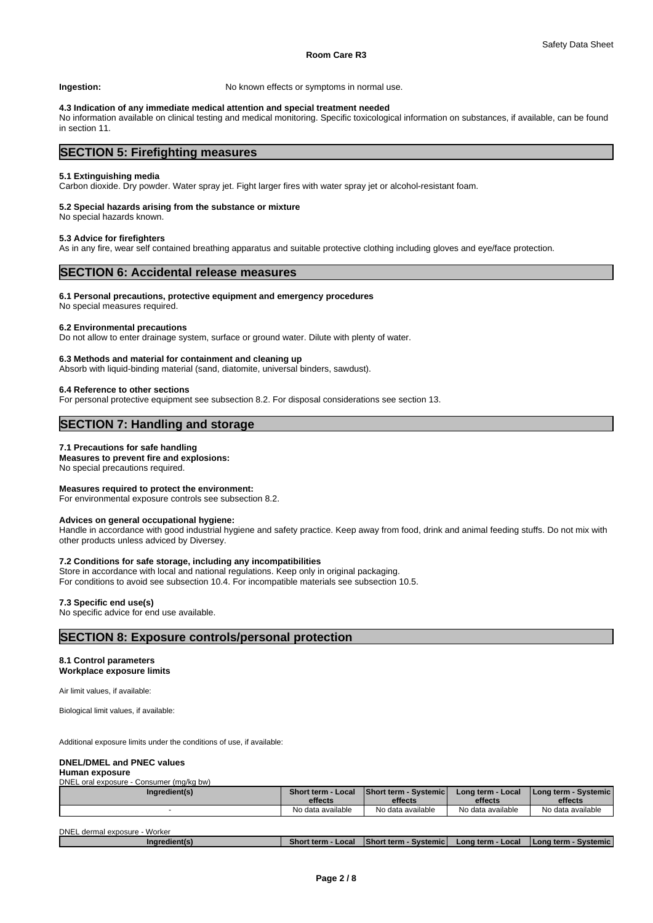**Ingestion:** No known effects or symptoms in normal use.

#### **4.3 Indication of any immediate medical attention and special treatment needed**

No information available on clinical testing and medical monitoring. Specific toxicological information on substances, if available, can be found in section 11.

# **SECTION 5: Firefighting measures**

#### **5.1 Extinguishing media**

Carbon dioxide. Dry powder. Water spray jet. Fight larger fires with water spray jet or alcohol-resistant foam.

#### **5.2 Special hazards arising from the substance or mixture**

No special hazards known.

#### **5.3 Advice for firefighters**

As in any fire, wear self contained breathing apparatus and suitable protective clothing including gloves and eye/face protection.

# **SECTION 6: Accidental release measures**

#### **6.1 Personal precautions, protective equipment and emergency procedures**

No special measures required.

### **6.2 Environmental precautions**

Do not allow to enter drainage system, surface or ground water. Dilute with plenty of water.

#### **6.3 Methods and material for containment and cleaning up**

Absorb with liquid-binding material (sand, diatomite, universal binders, sawdust).

#### **6.4 Reference to other sections**

For personal protective equipment see subsection 8.2. For disposal considerations see section 13.

# **SECTION 7: Handling and storage**

#### **7.1 Precautions for safe handling**

**Measures to prevent fire and explosions:**

No special precautions required.

#### **Measures required to protect the environment:**

For environmental exposure controls see subsection 8.2.

#### **Advices on general occupational hygiene:**

Handle in accordance with good industrial hygiene and safety practice. Keep away from food, drink and animal feeding stuffs. Do not mix with other products unless adviced by Diversey.

#### **7.2 Conditions for safe storage, including any incompatibilities**

Store in accordance with local and national regulations. Keep only in original packaging. For conditions to avoid see subsection 10.4. For incompatible materials see subsection 10.5.

#### **7.3 Specific end use(s)**

No specific advice for end use available.

### **SECTION 8: Exposure controls/personal protection**

#### **8.1 Control parameters**

**Workplace exposure limits**

Air limit values, if available:

Biological limit values, if available:

Additional exposure limits under the conditions of use, if available:

DNEL oral exposure - Consumer (mg/kg bw)

#### **DNEL/DMEL and PNEC values**

#### **Human exposure**

| Ingredient(s)                 | effects           | Short term - Local   Short term - Systemic  <br>effects | Long term - Local<br>effects | Long term - Systemic<br>effects |
|-------------------------------|-------------------|---------------------------------------------------------|------------------------------|---------------------------------|
|                               | No data available | No data available                                       | No data available            | No data available               |
| DNEL dermal exposure - Worker |                   |                                                         |                              |                                 |

| <b>PINEL GUITIGI UADUSUIU</b> | ,,,,,,,,,,,   |                                      |                                     |                       |                           |
|-------------------------------|---------------|--------------------------------------|-------------------------------------|-----------------------|---------------------------|
|                               | Ingredient(s) | Local<br>$\cdot$ term $\sim$<br>Shor | 'Shor.<br><b>Systemic</b><br>t term | ⊢Local<br>Lona term - | Systemic<br>l Lona term · |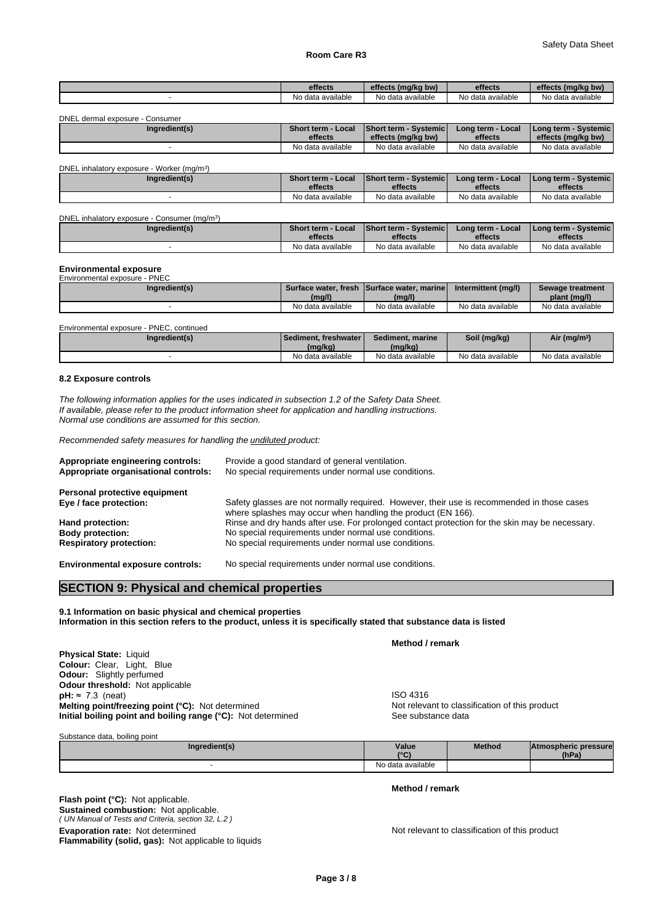#### **Room Care R3**

|                                 | effects           | effects (mg/kg bw)                       | effects           | effects (mg/kg bw)   |
|---------------------------------|-------------------|------------------------------------------|-------------------|----------------------|
|                                 | No data available | No data available                        | No data available | No data available    |
|                                 |                   |                                          |                   |                      |
| DNEL dermal exposure - Consumer |                   |                                          |                   |                      |
| Ingredient(s)                   |                   | Short term - Local Short term - Systemic | Long term - Local | Long term - Systemic |

| .<br>$\cdots$<br>No<br>data available د<br>available<br>No.<br>available<br>data<br>No dat<br>ı available<br>Nο<br>data | effects | (ma/ka bw)<br>effec <sup>+</sup> | effects | effec<br>: (ma/ka bw) |
|-------------------------------------------------------------------------------------------------------------------------|---------|----------------------------------|---------|-----------------------|
|                                                                                                                         |         |                                  |         |                       |

| DNEL inhalatory exposure - Worker (mg/m <sup>3</sup> ) |                                      |                                  |                              |                                     |
|--------------------------------------------------------|--------------------------------------|----------------------------------|------------------------------|-------------------------------------|
| Ingredient(s)                                          | <b>Short term - Local</b><br>effects | Short term - Systemic<br>effects | Long term - Local<br>effects | I Long term - Systemic I<br>effects |
|                                                        | No data available                    | No data available                | No data available            | No data available                   |

| DNEL inhalatory exposure - Consumer (mg/m <sup>3</sup> ) |                           |                               |                   |                      |  |  |
|----------------------------------------------------------|---------------------------|-------------------------------|-------------------|----------------------|--|--|
| Ingredient(s)                                            | <b>Short term - Local</b> | <b>Short term - Systemicl</b> | Long term - Local | Long term - Systemic |  |  |
|                                                          |                           |                               |                   |                      |  |  |
|                                                          | effects                   | effects                       | effects           | effects              |  |  |

#### **Environmental exposure**

| Environmental exposure -<br>PNEC |                   |                                            |                     |                   |
|----------------------------------|-------------------|--------------------------------------------|---------------------|-------------------|
| Ingredient(s)                    |                   | Surface water, fresh Surface water, marine | Intermittent (mg/l) | Sewage treatment  |
|                                  | (mg/l)            | (mg/l)                                     |                     | plant (mg/l)      |
|                                  | No data available | No data available                          | No data available   | No data available |

| Environmental exposure -<br>PNEC. continued |                          |                   |                   |                          |
|---------------------------------------------|--------------------------|-------------------|-------------------|--------------------------|
| Ingredient(s)                               | △ Sediment, freshwater ▶ | Sediment, marine  | Soil (mg/kg)      | Air (mg/m <sup>3</sup> ) |
|                                             | (mg/kg)                  | (mg/kg)           |                   |                          |
|                                             | No data available        | No data available | No data available | No data available        |

### **8.2 Exposure controls**

*The following information applies for the uses indicated in subsection 1.2 of the Safety Data Sheet. If available, please refer to the product information sheet for application and handling instructions. Normal use conditions are assumed for this section.*

*Recommended safety measures for handling the undiluted product:*

| Appropriate engineering controls:<br>Appropriate organisational controls: | Provide a good standard of general ventilation.<br>No special requirements under normal use conditions.                                                    |
|---------------------------------------------------------------------------|------------------------------------------------------------------------------------------------------------------------------------------------------------|
| Personal protective equipment                                             |                                                                                                                                                            |
| Eye / face protection:                                                    | Safety glasses are not normally required. However, their use is recommended in those cases<br>where splashes may occur when handling the product (EN 166). |
| Hand protection:                                                          | Rinse and dry hands after use. For prolonged contact protection for the skin may be necessary.                                                             |
| <b>Body protection:</b>                                                   | No special requirements under normal use conditions.                                                                                                       |
| <b>Respiratory protection:</b>                                            | No special requirements under normal use conditions.                                                                                                       |
| <b>Environmental exposure controls:</b>                                   | No special requirements under normal use conditions.                                                                                                       |

# **SECTION 9: Physical and chemical properties**

**9.1 Information on basic physical and chemical properties Information in this section refers to the product, unless it is specifically stated that substance data is listed**

**Physical State:** Liquid **Colour:** Clear, Light, Blue **Odour:** Slightly perfumed **Odour threshold:** Not applicable **pH:** ≈ 7.3 (neat) **ISO 4316 Melting point/freezing point (°C):** Not determined Not relevant to classification of this product **Initial boiling point and boiling range (°C):** Not determined See substance data

**Method / remark**

Substance data, boiling point

| Ingredient(s) | Value<br>$10^{\circ}$ | Method | <b>Atmospheric pressure</b><br>(hPa) |  |
|---------------|-----------------------|--------|--------------------------------------|--|
|               | No data available     |        |                                      |  |

**Method / remark**

*( UN Manual of Tests and Criteria, section 32, L.2 )* **Flash point (°C):** Not applicable. **Sustained combustion:** Not applicable. **Evaporation rate:** Not determined **Notice 2012 Not relevant to classification of this product Flammability (solid, gas):** Not applicable to liquids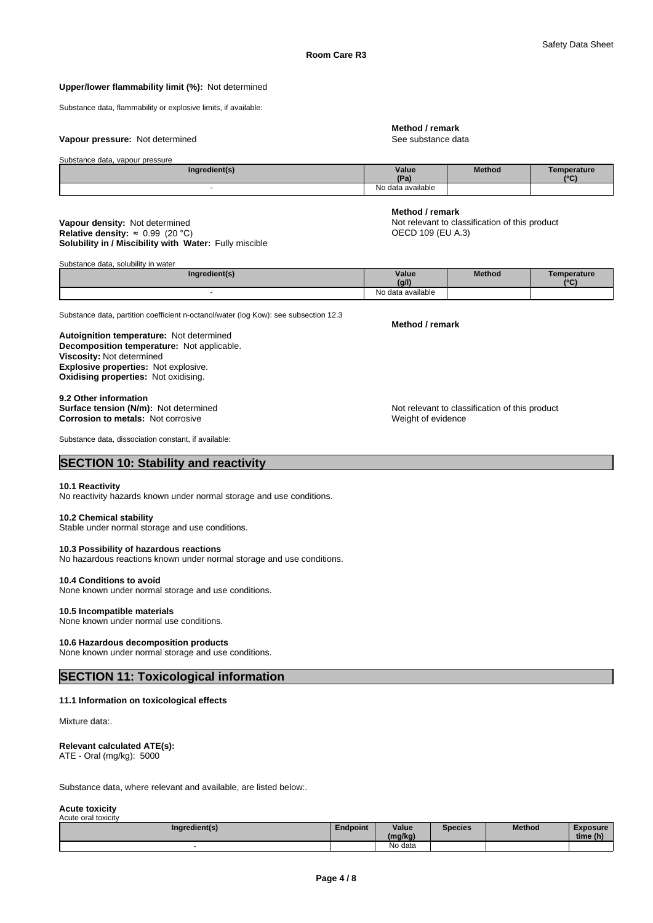#### **Upper/lower flammability limit (%):** Not determined

Substance data, flammability or explosive limits, if available:

#### **Vapour pressure:** Not determined **See substance data** See substance data

#### Substance data, vapour pressure

| Ingredient(s) | Value<br>$n -$    | <b>Method</b> | emperature<br>$\sim$ |
|---------------|-------------------|---------------|----------------------|
|               | No data available |               |                      |

#### **Solubility in / Miscibility with Water:** Fully miscible **Vapour density:** Not determined **Not relevant to classification of this product Relative density: ≈ 0.99 (20 °C) <br>Relative density: ≈ 0.99 (20 °C) <b>CO** CO 109 (DU A.3) **Relative density:**  $\approx 0.99$  (20 °C)

Substance data, solubility in water

| Ingredient(s) |  | Value<br>(g/l)    | Method | Temperature<br>10N |
|---------------|--|-------------------|--------|--------------------|
|               |  | No data available |        |                    |

Substance data, partition coefficient n-octanol/water (log Kow): see subsection 12.3

**Decomposition temperature:** Not applicable. **Autoignition temperature:** Not determined **Viscosity:** Not determined **Explosive properties:** Not explosive. **Oxidising properties:** Not oxidising.

**9.2 Other information Corrosion to metals: Not corrosive** 

Substance data, dissociation constant, if available:

# **SECTION 10: Stability and reactivity**

#### **10.1 Reactivity**

No reactivity hazards known under normal storage and use conditions.

#### **10.2 Chemical stability**

Stable under normal storage and use conditions.

### **10.3 Possibility of hazardous reactions**

No hazardous reactions known under normal storage and use conditions.

#### **10.4 Conditions to avoid**

None known under normal storage and use conditions.

#### **10.5 Incompatible materials**

None known under normal use conditions.

#### **10.6 Hazardous decomposition products**

None known under normal storage and use conditions.

# **SECTION 11: Toxicological information**

#### **11.1 Information on toxicological effects**

Mixture data:.

#### **Relevant calculated ATE(s):**

ATE - Oral (mg/kg): 5000

Substance data, where relevant and available, are listed below:.

#### **Acute toxicity** Acute oral toxicity

| Ingredient(s) | Endpoint | Value<br>(mg/kg) | <b>Species</b> | Method | <b>Exposure</b><br>time (h) |
|---------------|----------|------------------|----------------|--------|-----------------------------|
|               |          | No data          |                |        |                             |

### **Method / remark**

**Method / remark**

# **Method / remark**

**Surface tension (N/m):** Not determined<br> **Corrosion to metals:** Not corrosive<br> **Corrosion to metals:** Not corrosive<br> **Corrosion to metals:** Not corrosive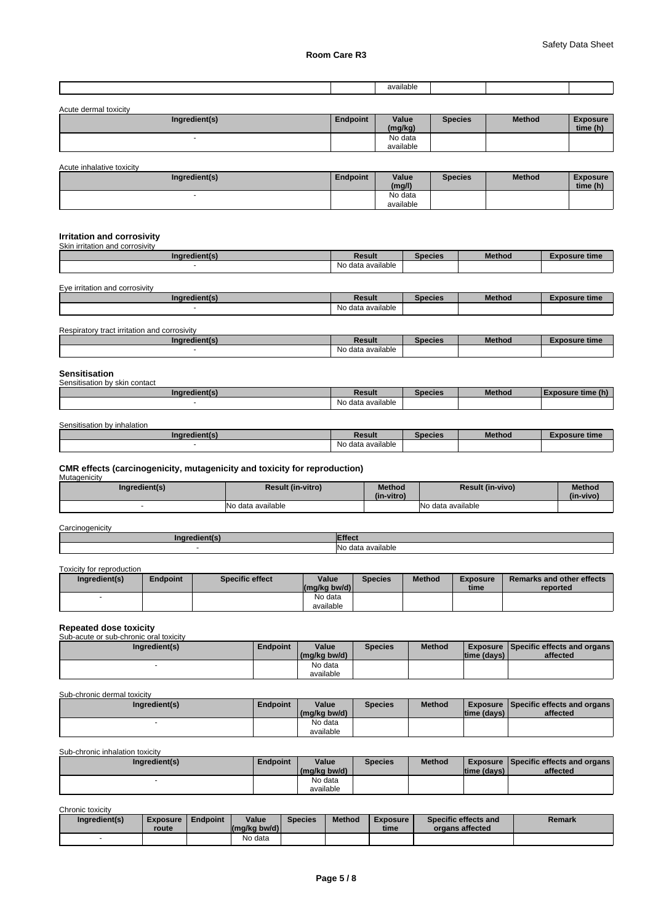|  | available<br>. |  |  |
|--|----------------|--|--|
|  |                |  |  |

| Acute dermal toxicity |          |                  |                |               |                             |
|-----------------------|----------|------------------|----------------|---------------|-----------------------------|
| Ingredient(s)         | Endpoint | Value<br>(mg/kg) | <b>Species</b> | <b>Method</b> | <b>Exposure</b><br>time (h) |
|                       |          | No data          |                |               |                             |
|                       |          | available        |                |               |                             |

Acute inhalative toxicity

| Ingredient(s) | <b>Endpoint</b> | Value<br>(mg/l) | Species | <b>Method</b> | <b>Exposure</b><br>time (h) |
|---------------|-----------------|-----------------|---------|---------------|-----------------------------|
|               |                 | No data         |         |               |                             |
|               |                 | available       |         |               |                             |

## **Irritation and corrosivity**

| Skin irritation and corrosivity              |                   |                |               |                      |
|----------------------------------------------|-------------------|----------------|---------------|----------------------|
| Ingredient(s)                                | <b>Result</b>     | <b>Species</b> | <b>Method</b> | <b>Exposure time</b> |
|                                              | No data available |                |               |                      |
| Eye irritation and corrosivity               |                   |                |               |                      |
|                                              |                   |                | <b>Method</b> |                      |
| Ingredient(s)                                | <b>Result</b>     | <b>Species</b> |               | <b>Exposure time</b> |
|                                              | No data available |                |               |                      |
| Respiratory tract irritation and corrosivity |                   |                |               |                      |
|                                              |                   |                |               |                      |
| Ingredient(s)                                | <b>Result</b>     | <b>Species</b> | <b>Method</b> | <b>Exposure time</b> |
|                                              | No data available |                |               |                      |
|                                              |                   |                |               |                      |
|                                              |                   |                |               |                      |

| <b>Sensitisation</b><br>Sensitisation by skin contact |                   |                |               |                          |
|-------------------------------------------------------|-------------------|----------------|---------------|--------------------------|
| Ingredient(s)                                         | Result            | <b>Species</b> | <b>Method</b> | <b>Exposure time (h)</b> |
|                                                       | No data available |                |               |                          |

| Sensitisation<br>⊦bv inhalation |                      |                |               |            |
|---------------------------------|----------------------|----------------|---------------|------------|
| redient(s                       | Result               | <b>Species</b> | <b>Methoc</b> | osure time |
|                                 | available<br>No data |                |               |            |

# **CMR effects (carcinogenicity, mutagenicity and toxicity for reproduction)** Mutagenicity

| Ingredient(s) | <b>Result (in-vitro)</b> | <b>Method</b><br>(in-vitro) | <b>Result (in-vivo)</b> | <b>Method</b><br>(in-vivo) |
|---------------|--------------------------|-----------------------------|-------------------------|----------------------------|
|               | INo data available       |                             | No data available       |                            |

# **Carcinogenicity**

| no<br>40 | ---<br>-<br>----                       |
|----------|----------------------------------------|
|          | <br>No<br>≏∨ailable<br>$\sim$<br>الصنب |

### Toxicity for reproduction

| Ingredient(s) | Endpoint | <b>Specific effect</b> | Value<br>$\left \frac{\text{mg}}{\text{kg}}\right $ bw/d) | <b>Species</b> | <b>Method</b> | <b>Exposure</b><br>time | <b>Remarks and other effects</b><br>reported |
|---------------|----------|------------------------|-----------------------------------------------------------|----------------|---------------|-------------------------|----------------------------------------------|
|               |          |                        | No data<br>available                                      |                |               |                         |                                              |

### **Repeated dose toxicity**

| Sub-acute or sub-chronic oral toxicity |                 |              |                |               |             |                                               |
|----------------------------------------|-----------------|--------------|----------------|---------------|-------------|-----------------------------------------------|
| Ingredient(s)                          | <b>Endpoint</b> | Value        | <b>Species</b> | <b>Method</b> |             | <b>Exposure Specific effects and organs I</b> |
|                                        |                 | (mg/kg bw/d) |                |               | time (days) | affected                                      |
|                                        |                 | No data      |                |               |             |                                               |
|                                        |                 | available    |                |               |             |                                               |

# Sub-chronic dermal toxicity

| Ingredient(s) | <b>Endpoint</b> | Value<br>(mg/kg bw/d) | <b>Species</b> | <b>Method</b> | time (days) | <b>Exposure Specific effects and organs</b><br>affected |
|---------------|-----------------|-----------------------|----------------|---------------|-------------|---------------------------------------------------------|
|               |                 | No data<br>available  |                |               |             |                                                         |

### Sub-chronic inhalation toxicity

| Ingredient(s) | <b>Endpoint</b> | Value<br>(mg/kg bw/d) | <b>Species</b> | <b>Method</b> | time (days) | <b>Exposure Specific effects and organs I</b><br>affected |
|---------------|-----------------|-----------------------|----------------|---------------|-------------|-----------------------------------------------------------|
|               |                 | No data<br>available  |                |               |             |                                                           |

Chronic toxicity

| Ingredient(s) | <b>Exposure</b><br>route | <b>Endpoint</b> | Value<br>$\left \frac{\text{mg}}{\text{kg}}\right $ (mg/kg bw/d) | <b>Species</b> | <b>Method</b> | <b>Exposure</b><br>time | Specific effects and<br>organs affected | Remark |
|---------------|--------------------------|-----------------|------------------------------------------------------------------|----------------|---------------|-------------------------|-----------------------------------------|--------|
|               |                          |                 | No data                                                          |                |               |                         |                                         |        |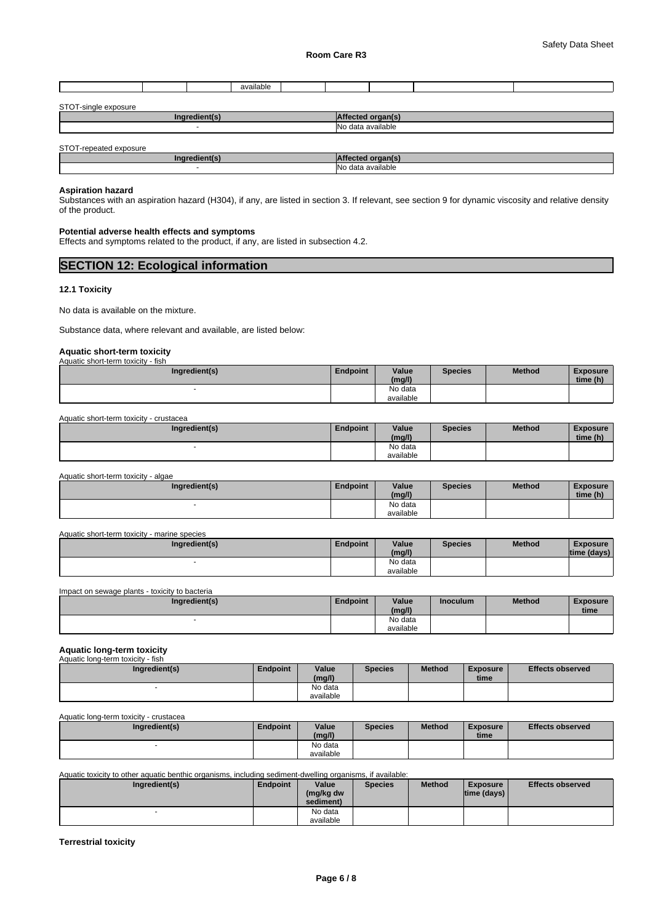|  | -116 |  |  |  |
|--|------|--|--|--|
|  |      |  |  |  |

| STOT-<br>exposure<br>$\sim$<br>single m |                                                     |
|-----------------------------------------|-----------------------------------------------------|
| $A^{\text{no}}$<br>"adian.<br>┉         |                                                     |
|                                         | <b>N<sub>1</sub></b><br>available<br>$\sim$<br>1212 |

STOT-repeated exposure

| <b>Ing</b><br>™edienn. |                             |
|------------------------|-----------------------------|
|                        | No data<br>a available<br>. |

#### **Aspiration hazard**

Substances with an aspiration hazard (H304), if any, are listed in section 3. If relevant, see section 9 for dynamic viscosity and relative density of the product.

#### **Potential adverse health effects and symptoms**

Effects and symptoms related to the product, if any, are listed in subsection 4.2.

| <b>SECTION 12: Ecological information</b> |  |
|-------------------------------------------|--|
|                                           |  |

#### **12.1 Toxicity**

No data is available on the mixture.

Substance data, where relevant and available, are listed below:

# **Aquatic short-term toxicity** Aquatic short-term toxicity - fish

| <b>AUGULO SHOLFIELLI LOAIGILY</b><br>ாவா |                 |                 |                |               |                             |
|------------------------------------------|-----------------|-----------------|----------------|---------------|-----------------------------|
| Ingredient(s)                            | <b>Endpoint</b> | Value<br>(mg/l) | <b>Species</b> | <b>Method</b> | <b>Exposure</b><br>time (h) |
|                                          |                 | No data         |                |               |                             |
|                                          |                 | available       |                |               |                             |

Aquatic short-term toxicity - crustacea

| Ingredient(s) | Endpoint | Value     | <b>Species</b> | <b>Method</b> | <b>Exposure</b> |  |
|---------------|----------|-----------|----------------|---------------|-----------------|--|
|               |          | (mg/l)    |                |               | time (h)        |  |
|               |          | No data   |                |               |                 |  |
|               |          | available |                |               |                 |  |

Aquatic short-term toxicity - algae

| Ingredient(s) | Endpoint | Value<br>(mg/l)      | <b>Species</b> | <b>Method</b> | <b>Exposure</b><br>time (h) |
|---------------|----------|----------------------|----------------|---------------|-----------------------------|
|               |          | No data<br>available |                |               |                             |

| Aquatic short-term toxicity - marine species |  |  |
|----------------------------------------------|--|--|
|                                              |  |  |

| Ingredient(s) | Endpoint | Value<br>(mg/l)      | <b>Species</b> | <b>Method</b> | <b>Exposure</b><br>time (davs) |  |
|---------------|----------|----------------------|----------------|---------------|--------------------------------|--|
|               |          | No data<br>available |                |               |                                |  |

Impact on sewage plants - toxicity to bacteria

| Ingredient(s) | <b>Endpoint</b> | Value     | <b>Inoculum</b> | <b>Method</b> | <b>Exposure</b> |  |
|---------------|-----------------|-----------|-----------------|---------------|-----------------|--|
|               |                 | (mg/l)    |                 |               | time            |  |
|               |                 | No data   |                 |               |                 |  |
|               |                 | available |                 |               |                 |  |

# **Aquatic long-term toxicity** Aquatic long-term toxicity - fish

| Ingredient(s) | <b>Endpoint</b> | Value<br>(mg/l) | <b>Species</b> | <b>Method</b> | <b>Exposure</b><br>time | <b>Effects observed</b> |
|---------------|-----------------|-----------------|----------------|---------------|-------------------------|-------------------------|
|               |                 | No data         |                |               |                         |                         |
|               |                 | available       |                |               |                         |                         |

#### Aquatic long-term toxicity - crustacea

| Ingredient(s) | Endpoint | Value<br>(mg/l)      | <b>Species</b> | <b>Method</b> | <b>Exposure</b><br>time | <b>Effects observed</b> |
|---------------|----------|----------------------|----------------|---------------|-------------------------|-------------------------|
|               |          | No data<br>available |                |               |                         |                         |

Aquatic toxicity to other aquatic benthic organisms, including sediment-dwelling organisms, if available:

| Ingredient(s) | <b>Endpoint</b> | Value<br>(mg/kg dw<br>sediment) | <b>Species</b> | <b>Method</b> | <b>Exposure</b><br>$ time$ (days) $ $ | <b>Effects observed</b> |
|---------------|-----------------|---------------------------------|----------------|---------------|---------------------------------------|-------------------------|
|               |                 | No data                         |                |               |                                       |                         |
|               |                 | available                       |                |               |                                       |                         |

#### **Terrestrial toxicity**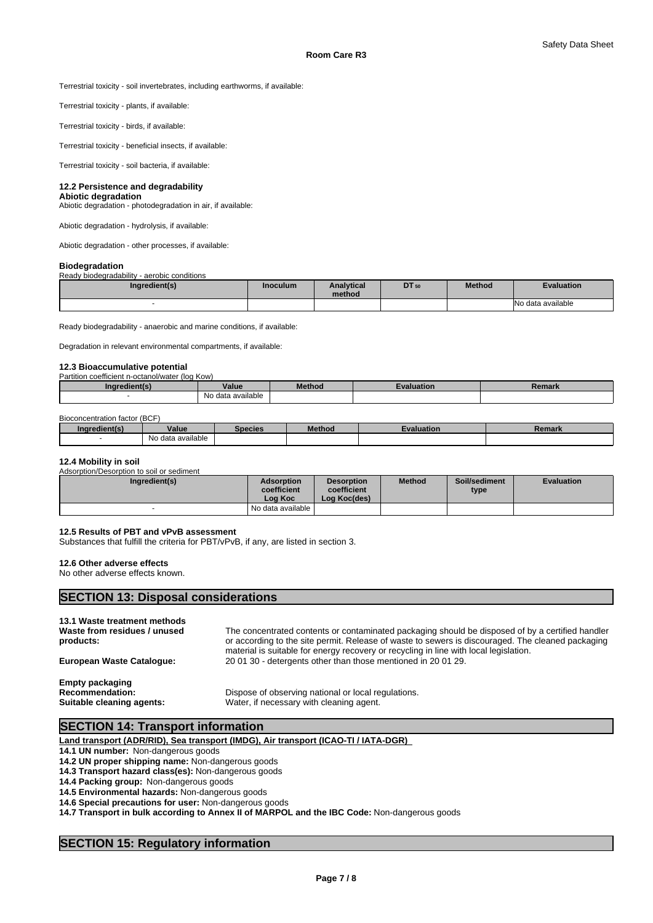Terrestrial toxicity - soil invertebrates, including earthworms, if available:

Terrestrial toxicity - plants, if available:

Terrestrial toxicity - birds, if available:

Terrestrial toxicity - beneficial insects, if available:

Terrestrial toxicity - soil bacteria, if available:

#### **12.2 Persistence and degradability**

#### **Abiotic degradation**

Abiotic degradation - photodegradation in air, if available:

Abiotic degradation - hydrolysis, if available:

Abiotic degradation - other processes, if available:

#### **Biodegradation**

Ready biodegradability - aerobic conditions

| Ingredient(s) | Inoculum | <b>Analytical</b><br>method | DT 50 | <b>Method</b> | <b>Evaluation</b>     |
|---------------|----------|-----------------------------|-------|---------------|-----------------------|
|               |          |                             |       |               | data available<br>۸۱, |

Ready biodegradability - anaerobic and marine conditions, if available:

Degradation in relevant environmental compartments, if available:

#### **12.3 Bioaccumulative potential**

| Partition coefficient n-octanol/water (log Kow) |                                     |        |        |        |
|-------------------------------------------------|-------------------------------------|--------|--------|--------|
| ingredient in                                   | Value                               | ⊿ethod | ™ation | Remark |
|                                                 | $\cdots$<br>data available ו<br>No. |        |        |        |

#### Bioconcentration factor (BCF)

| Ingredient(s) | Value             | Species | Method | <b>Evaluation</b> | Remark |
|---------------|-------------------|---------|--------|-------------------|--------|
|               | No data available |         |        |                   |        |

#### **12.4 Mobility in soil**

Adsorption/Desorption to soil or sediment

| Ingredient(s) | <b>Adsorption</b><br>coefficient<br>Loa Koc | <b>Desorption</b><br>coefficient<br>Log Koc(des) | <b>Method</b> | Soil/sediment<br>type | <b>Evaluation</b> |
|---------------|---------------------------------------------|--------------------------------------------------|---------------|-----------------------|-------------------|
|               | No data available I                         |                                                  |               |                       |                   |

#### **12.5 Results of PBT and vPvB assessment**

**SECTION 13: Disposal considerations** 

Substances that fulfill the criteria for PBT/vPvB, if any, are listed in section 3.

#### **12.6 Other adverse effects**

No other adverse effects known.

| products:                                           | or according to the site permit. Release of waste to sewers is discouraged. The cleaned packaging<br>material is suitable for energy recovery or recycling in line with local legislation. |
|-----------------------------------------------------|--------------------------------------------------------------------------------------------------------------------------------------------------------------------------------------------|
| <b>European Waste Catalogue:</b>                    | 20 01 30 - detergents other than those mentioned in 20 01 29.                                                                                                                              |
| <b>Empty packaging</b>                              |                                                                                                                                                                                            |
| <b>Recommendation:</b><br>Suitable cleaning agents: | Dispose of observing national or local regulations.<br>Water, if necessary with cleaning agent.                                                                                            |

# **SECTION 14: Transport information**

**Land transport (ADR/RID), Sea transport (IMDG), Air transport (ICAO-TI / IATA-DGR)** 

**14.1 UN number:** Non-dangerous goods

**14.2 UN proper shipping name:** Non-dangerous goods

**14.3 Transport hazard class(es):** Non-dangerous goods

**14.4 Packing group:** Non-dangerous goods

**14.5 Environmental hazards:** Non-dangerous goods

**14.6 Special precautions for user:** Non-dangerous goods

**14.7 Transport in bulk according to Annex II of MARPOL and the IBC Code:** Non-dangerous goods

# **SECTION 15: Regulatory information**